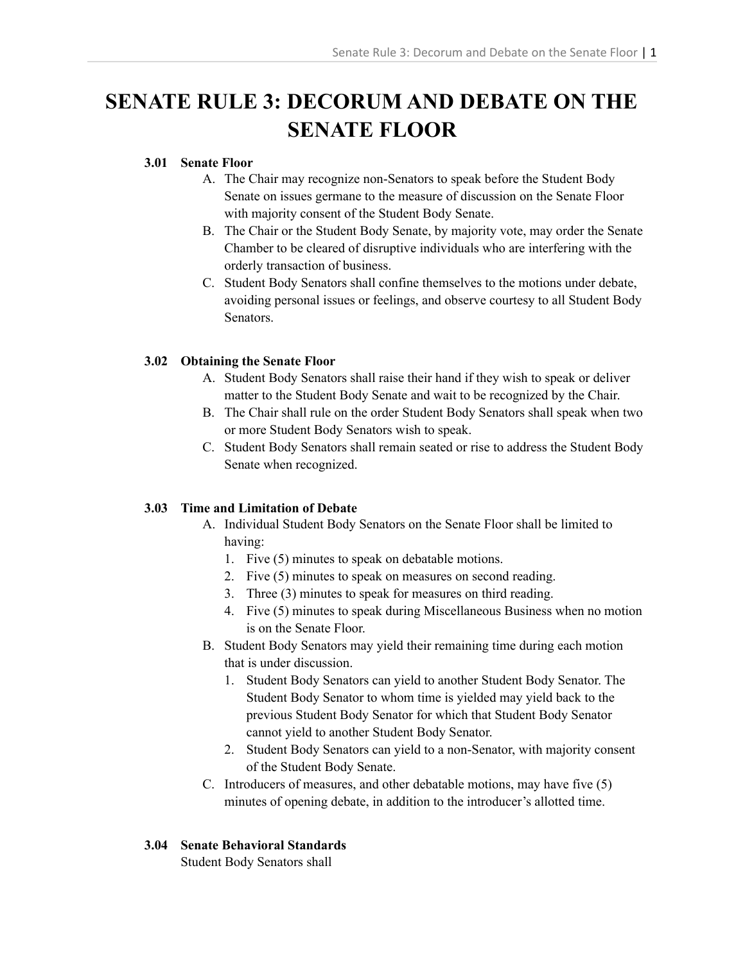# **SENATE RULE 3: DECORUM AND DEBATE ON THE SENATE FLOOR**

### **3.01 Senate Floor**

- A. The Chair may recognize non-Senators to speak before the Student Body Senate on issues germane to the measure of discussion on the Senate Floor with majority consent of the Student Body Senate.
- B. The Chair or the Student Body Senate, by majority vote, may order the Senate Chamber to be cleared of disruptive individuals who are interfering with the orderly transaction of business.
- C. Student Body Senators shall confine themselves to the motions under debate, avoiding personal issues or feelings, and observe courtesy to all Student Body Senators.

# **3.02 Obtaining the Senate Floor**

- A. Student Body Senators shall raise their hand if they wish to speak or deliver matter to the Student Body Senate and wait to be recognized by the Chair.
- B. The Chair shall rule on the order Student Body Senators shall speak when two or more Student Body Senators wish to speak.
- C. Student Body Senators shall remain seated or rise to address the Student Body Senate when recognized.

# **3.03 Time and Limitation of Debate**

- A. Individual Student Body Senators on the Senate Floor shall be limited to having:
	- 1. Five (5) minutes to speak on debatable motions.
	- 2. Five (5) minutes to speak on measures on second reading.
	- 3. Three (3) minutes to speak for measures on third reading.
	- 4. Five (5) minutes to speak during Miscellaneous Business when no motion is on the Senate Floor.
- B. Student Body Senators may yield their remaining time during each motion that is under discussion.
	- 1. Student Body Senators can yield to another Student Body Senator. The Student Body Senator to whom time is yielded may yield back to the previous Student Body Senator for which that Student Body Senator cannot yield to another Student Body Senator.
	- 2. Student Body Senators can yield to a non-Senator, with majority consent of the Student Body Senate.
- C. Introducers of measures, and other debatable motions, may have five (5) minutes of opening debate, in addition to the introducer's allotted time.

#### **3.04 Senate Behavioral Standards**

Student Body Senators shall